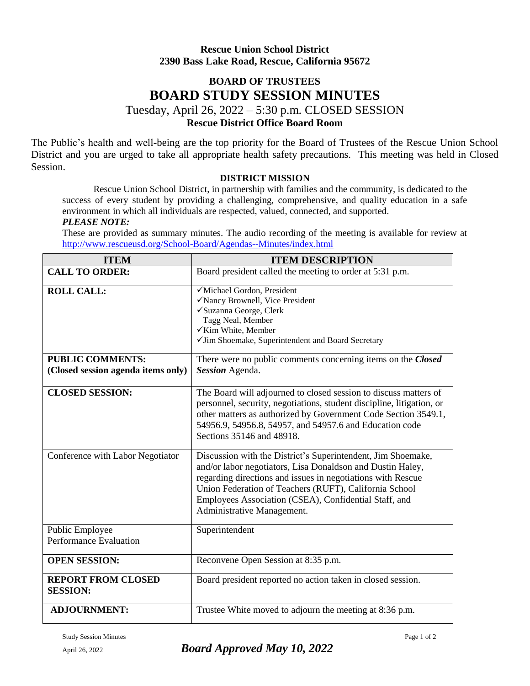## **Rescue Union School District 2390 Bass Lake Road, Rescue, California 95672**

# **BOARD OF TRUSTEES BOARD STUDY SESSION MINUTES**

Tuesday, April 26, 2022 – 5:30 p.m. CLOSED SESSION

## **Rescue District Office Board Room**

The Public's health and well-being are the top priority for the Board of Trustees of the Rescue Union School District and you are urged to take all appropriate health safety precautions. This meeting was held in Closed Session.

### **DISTRICT MISSION**

Rescue Union School District, in partnership with families and the community, is dedicated to the success of every student by providing a challenging, comprehensive, and quality education in a safe environment in which all individuals are respected, valued, connected, and supported.

### *PLEASE NOTE:*

These are provided as summary minutes. The audio recording of the meeting is available for review at <http://www.rescueusd.org/School-Board/Agendas--Minutes/index.html>

| <b>ITEM</b>                                      | <b>ITEM DESCRIPTION</b>                                                                                                                                                                                                                                                                                                                    |
|--------------------------------------------------|--------------------------------------------------------------------------------------------------------------------------------------------------------------------------------------------------------------------------------------------------------------------------------------------------------------------------------------------|
| <b>CALL TO ORDER:</b>                            | Board president called the meeting to order at 5:31 p.m.                                                                                                                                                                                                                                                                                   |
| <b>ROLL CALL:</b>                                | √Michael Gordon, President<br>√Nancy Brownell, Vice President<br>√Suzanna George, Clerk<br>Tagg Neal, Member<br>√Kim White, Member<br>√Jim Shoemake, Superintendent and Board Secretary                                                                                                                                                    |
| <b>PUBLIC COMMENTS:</b>                          | There were no public comments concerning items on the Closed                                                                                                                                                                                                                                                                               |
| (Closed session agenda items only)               | Session Agenda.                                                                                                                                                                                                                                                                                                                            |
| <b>CLOSED SESSION:</b>                           | The Board will adjourned to closed session to discuss matters of<br>personnel, security, negotiations, student discipline, litigation, or<br>other matters as authorized by Government Code Section 3549.1,<br>54956.9, 54956.8, 54957, and 54957.6 and Education code<br>Sections 35146 and 48918.                                        |
| Conference with Labor Negotiator                 | Discussion with the District's Superintendent, Jim Shoemake,<br>and/or labor negotiators, Lisa Donaldson and Dustin Haley,<br>regarding directions and issues in negotiations with Rescue<br>Union Federation of Teachers (RUFT), California School<br>Employees Association (CSEA), Confidential Staff, and<br>Administrative Management. |
| Public Employee<br><b>Performance Evaluation</b> | Superintendent                                                                                                                                                                                                                                                                                                                             |
| <b>OPEN SESSION:</b>                             | Reconvene Open Session at 8:35 p.m.                                                                                                                                                                                                                                                                                                        |
| <b>REPORT FROM CLOSED</b><br><b>SESSION:</b>     | Board president reported no action taken in closed session.                                                                                                                                                                                                                                                                                |
| <b>ADJOURNMENT:</b>                              | Trustee White moved to adjourn the meeting at 8:36 p.m.                                                                                                                                                                                                                                                                                    |